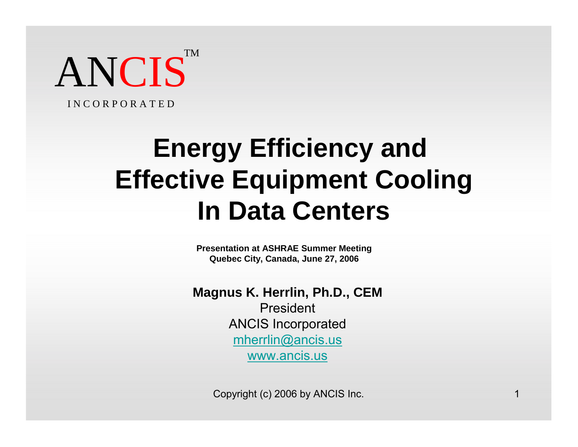ANCIS<sup>T</sup> TM

I N C O R P O R A T E D

# **Energy Efficiency and Effective Equipment Cooling In Data Centers**

**Presentation at ASHRAE Summer Meeting Quebec City, Canada, June 27, 2006**

**Magnus K. Herrlin, Ph.D., CEM**

President ANCIS Incorporated mherrlin@ancis.us www.ancis.us

Copyright (c) 2006 by ANCIS Inc. 1 1 1 1 2006 1 2006 1 2007 1 2008 1 2010 1 2010 1 2010 1 2010 1 2010 1 2010 1 2010 1 2010 1 2010 1 2010 1 2010 1 2010 1 2010 1 2010 1 2010 1 2010 1 2010 1 2010 1 2010 1 2010 1 2010 1 2010 1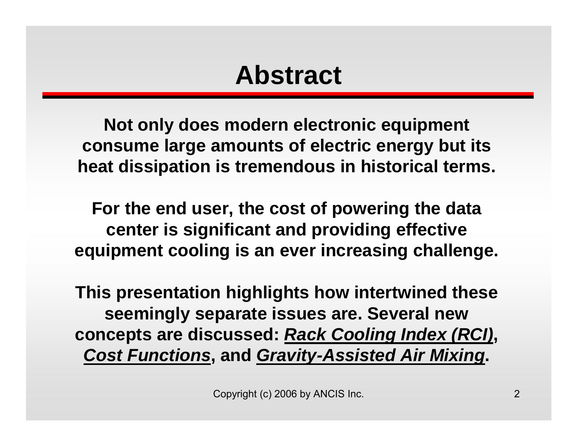## **Abstract**

**Not only does modern electronic equipment consume large amounts of electric energy but its heat dissipation is tremendous in historical terms.** 

**For the end user, the cost of powering the data center is significant and providing effective equipment cooling is an ever increasing challenge.** 

**This presentation highlights how intertwined these seemingly separate issues are. Several new concepts are discussed:** *Rack Cooling Index (RCI)***,**  *Cost Functions***, and** *Gravity-Assisted Air Mixing***.**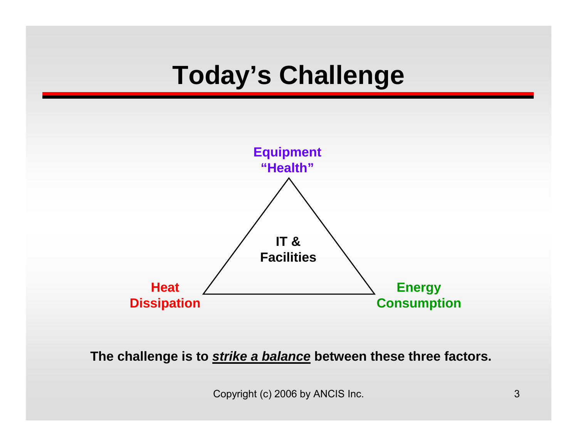# **Today's Challenge**



**The challenge is to** *strike a balance* **between these three factors.**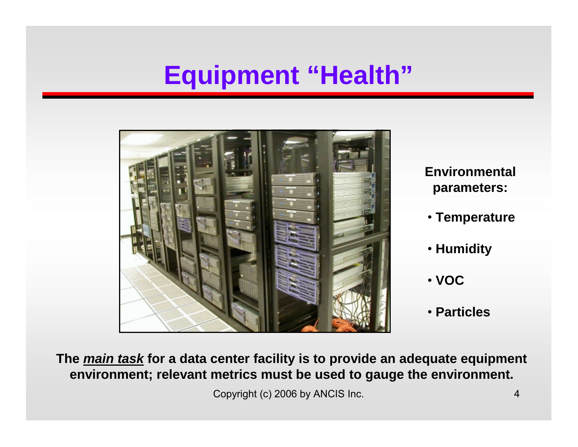## **Equipment "Health"**



**Environmental parameters:**

- **Temperature**
- **Humidity**
- **VOC**
- **Particles**

**The** *main task* **for a data center facility is to provide an adequate equipment environment; relevant metrics must be used to gauge the environment.**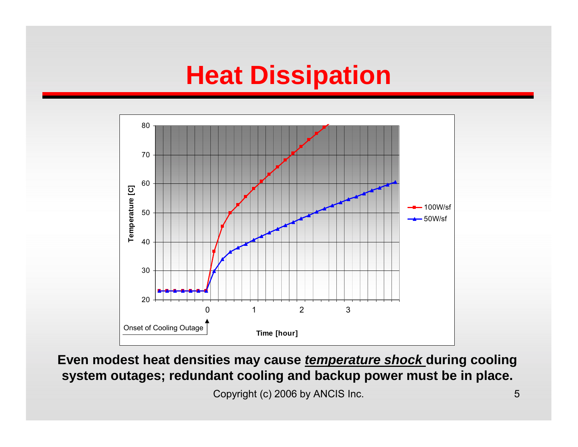## **Heat Dissipation**



**Even modest heat densities may cause** *temperature shock* **during cooling system outages; redundant cooling and backup power must be in place.**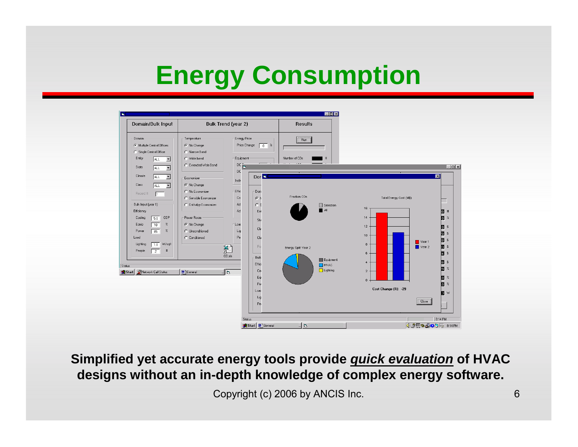# **Energy Consumption**



#### **Simplified yet accurate energy tools provide** *quick evaluation* **of HVAC designs without an in-depth knowledge of complex energy software.**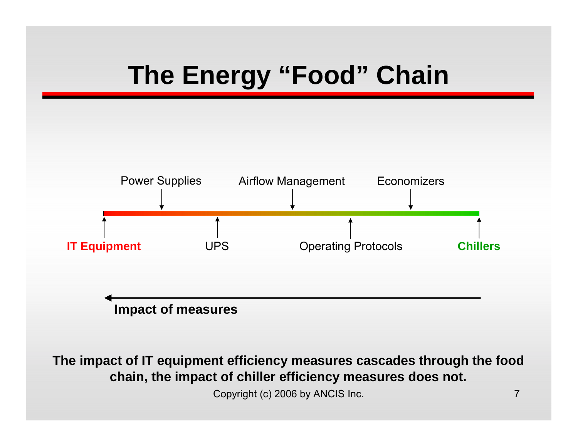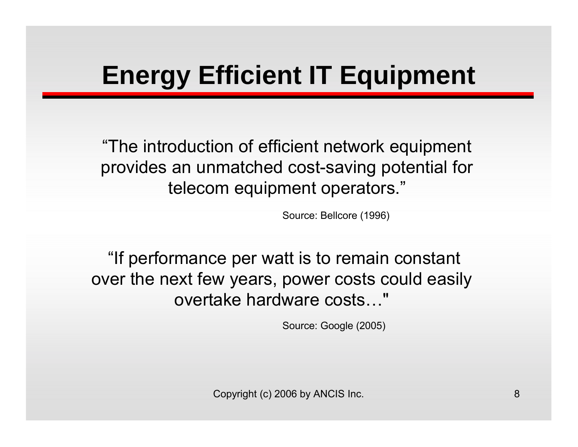# **Energy Efficient IT Equipment**

"The introduction of efficient network equipment provides an unmatched cost-saving potential for telecom equipment operators."

Source: Bellcore (1996)

"If performance per watt is to remain constant over the next few years, power costs could easily overtake hardware costs…"

Source: Google (2005)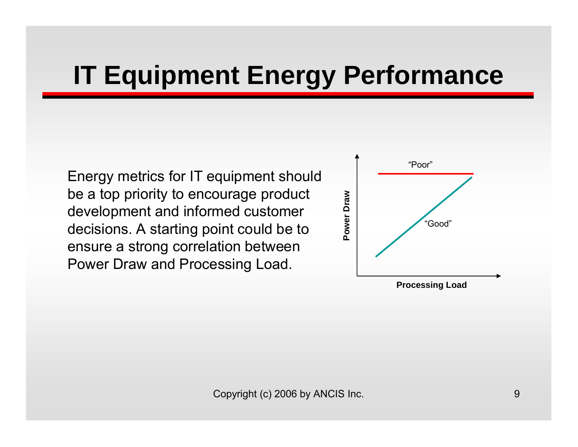# **IT Equipment Energy Performance**

Energy metrics for IT equipment should be a top priority to encourage product development and informed customer decisions. A starting point could be to ensure a strong correlation between Power Draw and Processing Load.

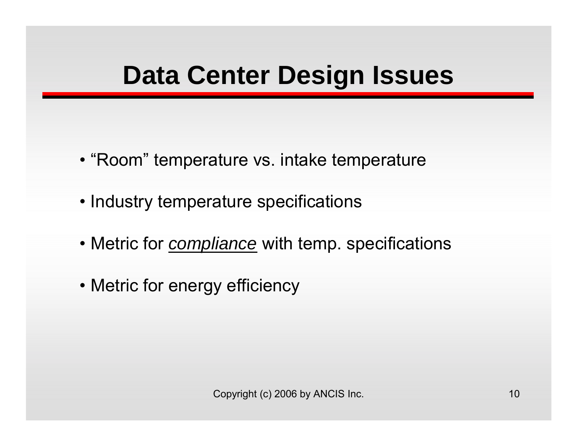# **Data Center Design Issues**

- "Room" temperature vs. intake temperature
- Industry temperature specifications
- Metric for *compliance* with temp. specifications
- Metric for energy efficiency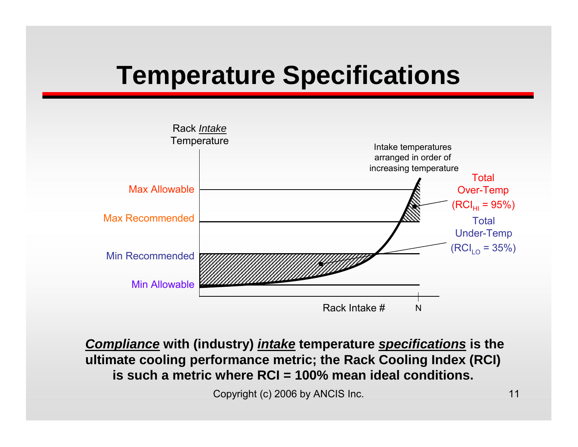# **Temperature Specifications**



*Compliance* **with (industry)** *intake* **temperature** *specifications* **is the ultimate cooling performance metric; the Rack Cooling Index (RCI) is such a metric where RCI = 100% mean ideal conditions.**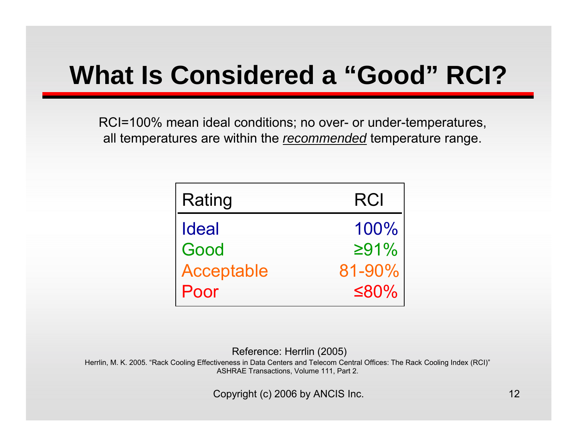# **What Is Considered a "Good" RCI?**

RCI=100% mean ideal conditions; no over- or under-temperatures, all temperatures are within the *recommended* temperature range.

| Rating       | <b>RCI</b>  |
|--------------|-------------|
| <b>Ideal</b> | 100%        |
| Good         | $\geq 91\%$ |
| Acceptable   | 81-90%      |
| Poor         | $\leq 80\%$ |

Reference: Herrlin (2005)

Herrlin, M. K. 2005. "Rack Cooling Effectiveness in Data Centers and Telecom Central Offices: The Rack Cooling Index (RCI)" ASHRAE Transactions, Volume 111, Part 2.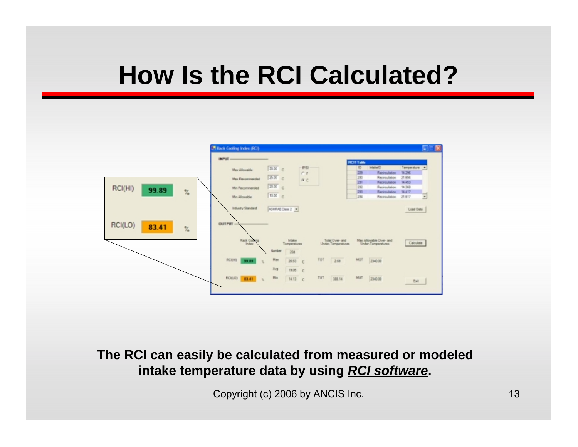## **How Is the RCI Calculated?**



**The RCI can easily be calculated from measured or modeled intake temperature data by using** *RCI software***.**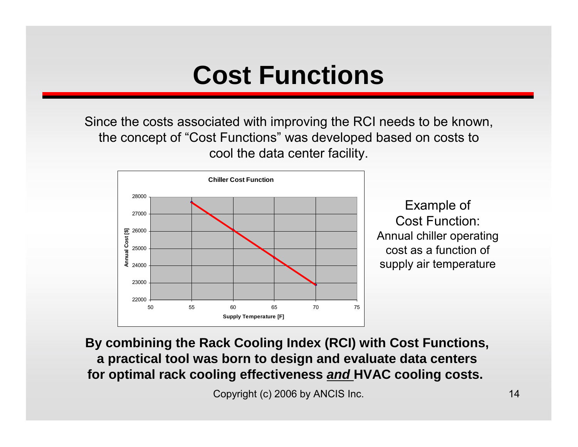## **Cost Functions**

Since the costs associated with improving the RCI needs to be known, the concept of "Cost Functions" was developed based on costs to cool the data center facility.



Example of Cost Function: Annual chiller operating cost as a function of supply air temperature

**By combining the Rack Cooling Index (RCI) with Cost Functions, a practical tool was born to design and evaluate data centers for optimal rack cooling effectiveness** *and* **HVAC cooling costs.**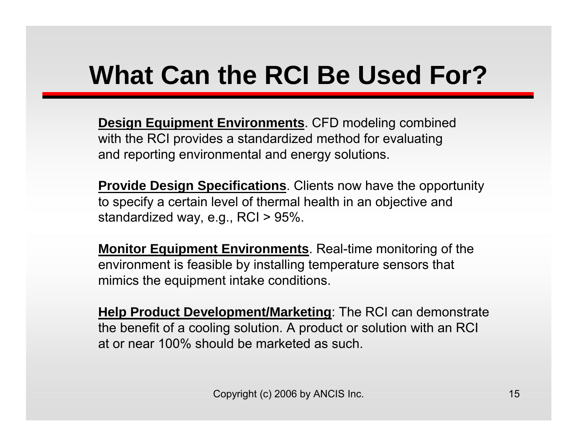# **What Can the RCI Be Used For?**

**Design Equipment Environments**. CFD modeling combined with the RCI provides a standardized method for evaluating and reporting environmental and energy solutions.

**Provide Design Specifications**. Clients now have the opportunity to specify a certain level of thermal health in an objective and standardized way, e.g., RCI > 95%.

**Monitor Equipment Environments**. Real-time monitoring of the environment is feasible by installing temperature sensors that mimics the equipment intake conditions.

**Help Product Development/Marketing**: The RCI can demonstrate the benefit of a cooling solution. A product or solution with an RCI at or near 100% should be marketed as such.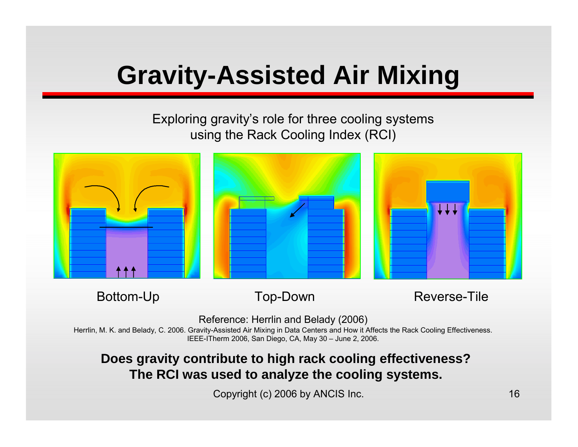# **Gravity-Assisted Air Mixing**

#### Exploring gravity's role for three cooling systems using the Rack Cooling Index (RCI)



Bottom-Up Top-Down Reverse-Tile

Reference: Herrlin and Belady (2006)

Herrlin, M. K. and Belady, C. 2006. Gravity-Assisted Air Mixing in Data Centers and How it Affects the Rack Cooling Effectiveness. IEEE-ITherm 2006, San Diego, CA, May 30 – June 2, 2006.

#### **Does gravity contribute to high rack cooling effectiveness? The RCI was used to analyze the cooling systems.**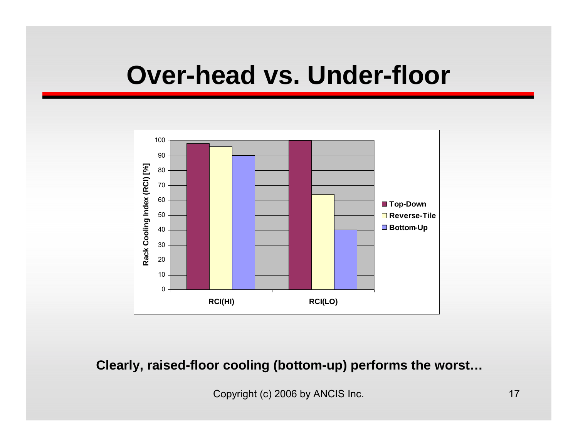#### **Over-head vs. Under-floor**



**Clearly, raised-floor cooling (bottom-up) performs the worst…**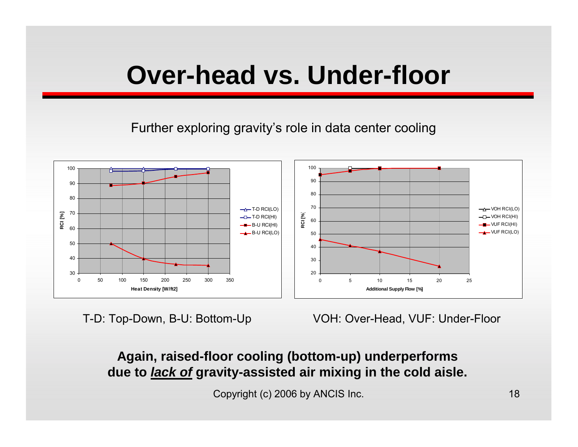## **Over-head vs. Under-floor**

Further exploring gravity's role in data center cooling



T-D: Top-Down, B-U: Bottom-Up VOH: Over-Head, VUF: Under-Floor

#### **Again, raised-floor cooling (bottom-up) underperforms due to** *lack of* **gravity-assisted air mixing in the cold aisle.**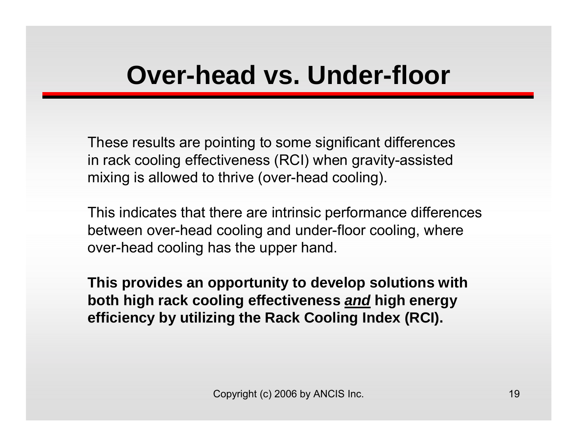## **Over-head vs. Under-floor**

These results are pointing to some significant differences in rack cooling effectiveness (RCI) when gravity-assisted mixing is allowed to thrive (over-head cooling).

This indicates that there are intrinsic performance differences between over-head cooling and under-floor cooling, where over-head cooling has the upper hand.

**This provides an opportunity to develop solutions with both high rack cooling effectiveness** *and* **high energy efficiency by utilizing the Rack Cooling Index (RCI).**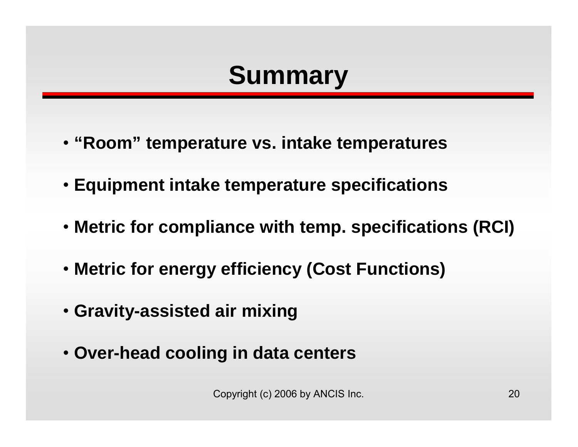# **Summary**

- **"Room" temperature vs. intake temperatures**
- **Equipment intake temperature specifications**
- **Metric for compliance with temp. specifications (RCI)**
- **Metric for energy efficiency (Cost Functions)**
- **Gravity-assisted air mixing**
- **Over-head cooling in data centers**